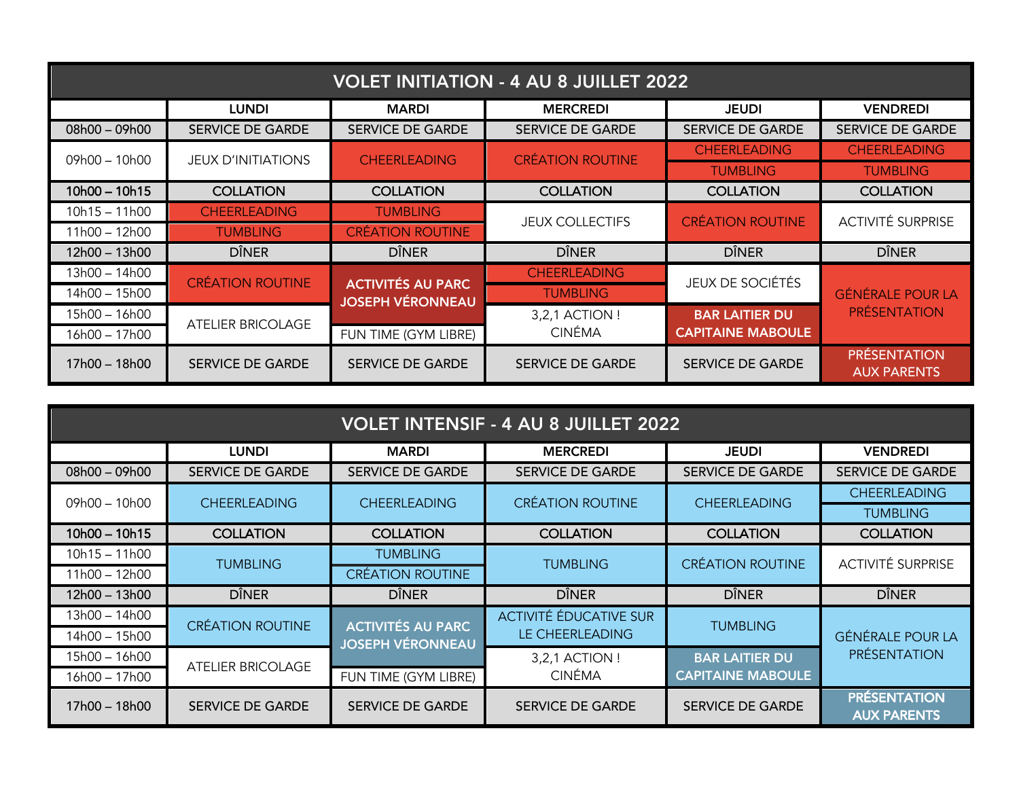| <b>VOLET INITIATION - 4 AU 8 JUILLET 2022</b> |                           |                                            |                         |                          |                                           |
|-----------------------------------------------|---------------------------|--------------------------------------------|-------------------------|--------------------------|-------------------------------------------|
|                                               | <b>LUNDI</b>              | <b>MARDI</b>                               | <b>MERCREDI</b>         | <b>JEUDI</b>             | <b>VENDREDI</b>                           |
| $08h00 - 09h00$                               | <b>SERVICE DE GARDE</b>   | <b>SERVICE DE GARDE</b>                    | <b>SERVICE DE GARDE</b> | <b>SERVICE DE GARDE</b>  | <b>SERVICE DE GARDE</b>                   |
| $09h00 - 10h00$                               | <b>JEUX D'INITIATIONS</b> | <b>CHEERLEADING</b>                        | <b>CRÉATION ROUTINE</b> | <b>CHEERLEADING</b>      | <b>CHEERLEADING</b>                       |
|                                               |                           |                                            |                         | <b>TUMBLING</b>          | <b>TUMBLING</b>                           |
| $10h00 - 10h15$                               | <b>COLLATION</b>          | <b>COLLATION</b>                           | <b>COLLATION</b>        | <b>COLLATION</b>         | <b>COLLATION</b>                          |
| $10h15 - 11h00$                               | <b>CHEERLEADING</b>       | <b>TUMBLING</b><br><b>CRÉATION ROUTINE</b> | <b>JEUX COLLECTIFS</b>  | <b>CRÉATION ROUTINE</b>  | <b>ACTIVITÉ SURPRISE</b>                  |
| 11h00 - 12h00                                 | <b>TUMBLING</b>           |                                            |                         |                          |                                           |
| 12h00 – 13h00                                 | <b>DÎNER</b>              | <b>DÎNER</b>                               | <b>DÎNER</b>            | <b>DÎNER</b>             | <b>DÎNER</b>                              |
| 13h00 – 14h00                                 | <b>CRÉATION ROUTINE</b>   | <b>ACTIVITÉS AU PARC</b>                   | <b>CHEERLEADING</b>     | <b>JEUX DE SOCIÉTÉS</b>  | <b>GÉNÉRALE POUR LA</b>                   |
| 14h00 – 15h00                                 |                           | <b>JOSEPH VÉRONNEAU</b>                    | <b>TUMBLING</b>         |                          |                                           |
| 15h00 - 16h00                                 | <b>ATELIER BRICOLAGE</b>  |                                            | 3,2,1 ACTION !          | <b>BAR LAITIER DU</b>    | <b>PRÉSENTATION</b>                       |
| 16h00 – 17h00                                 |                           | FUN TIME (GYM LIBRE)                       | <b>CINÉMA</b>           | <b>CAPITAINE MABOULE</b> |                                           |
| 17h00 – 18h00                                 | <b>SERVICE DE GARDE</b>   | <b>SERVICE DE GARDE</b>                    | <b>SERVICE DE GARDE</b> | <b>SERVICE DE GARDE</b>  | <b>PRÉSENTATION</b><br><b>AUX PARENTS</b> |

| <b>VOLET INTENSIF - 4 AU 8 JUILLET 2022</b> |                          |                                                     |                         |                          |                                           |
|---------------------------------------------|--------------------------|-----------------------------------------------------|-------------------------|--------------------------|-------------------------------------------|
|                                             | <b>LUNDI</b>             | <b>MARDI</b>                                        | <b>MERCREDI</b>         | <b>JEUDI</b>             | <b>VENDREDI</b>                           |
| $08h00 - 09h00$                             | <b>SERVICE DE GARDE</b>  | <b>SERVICE DE GARDE</b>                             | <b>SERVICE DE GARDE</b> | <b>SERVICE DE GARDE</b>  | <b>SERVICE DE GARDE</b>                   |
| 09h00 - 10h00                               | <b>CHEERLEADING</b>      | <b>CHEERLEADING</b>                                 | <b>CRÉATION ROUTINE</b> | <b>CHEERLEADING</b>      | <b>CHEERLEADING</b>                       |
|                                             |                          |                                                     |                         |                          | <b>TUMBLING</b>                           |
| 10h00 - 10h15                               | <b>COLLATION</b>         | <b>COLLATION</b>                                    | <b>COLLATION</b>        | <b>COLLATION</b>         | <b>COLLATION</b>                          |
| 10h15 - 11h00                               | <b>TUMBLING</b>          | <b>TUMBLING</b>                                     | <b>TUMBLING</b>         | <b>CRÉATION ROUTINE</b>  | <b>ACTIVITÉ SURPRISE</b>                  |
| 11h00 – 12h00                               |                          | <b>CREATION ROUTINE</b>                             |                         |                          |                                           |
| 12h00 - 13h00                               | <b>DÎNER</b>             | <b>DÎNER</b>                                        | <b>DÎNER</b>            | <b>DÎNER</b>             | <b>DÎNER</b>                              |
| 13h00 – 14h00                               | <b>CRÉATION ROUTINE</b>  |                                                     | ACTIVITÉ ÉDUCATIVE SUR  | <b>TUMBLING</b>          | <b>GÉNÉRALE POUR LA</b>                   |
| 14h00 – 15h00                               |                          | <b>ACTIVITÉS AU PARC</b><br><b>JOSEPH VÉRONNEAU</b> | LE CHEERLEADING         |                          |                                           |
| 15h00 – 16h00                               | <b>ATELIER BRICOLAGE</b> |                                                     | 3,2,1 ACTION !          | <b>BAR LAITIER DU</b>    | <b>PRÉSENTATION</b>                       |
| 16h00 – 17h00                               |                          | FUN TIME (GYM LIBRE)                                | <b>CINÉMA</b>           | <b>CAPITAINE MABOULE</b> |                                           |
| 17h00 – 18h00                               | <b>SERVICE DE GARDE</b>  | <b>SERVICE DE GARDE</b>                             | <b>SERVICE DE GARDE</b> | <b>SERVICE DE GARDE</b>  | <b>PRÉSENTATION</b><br><b>AUX PARENTS</b> |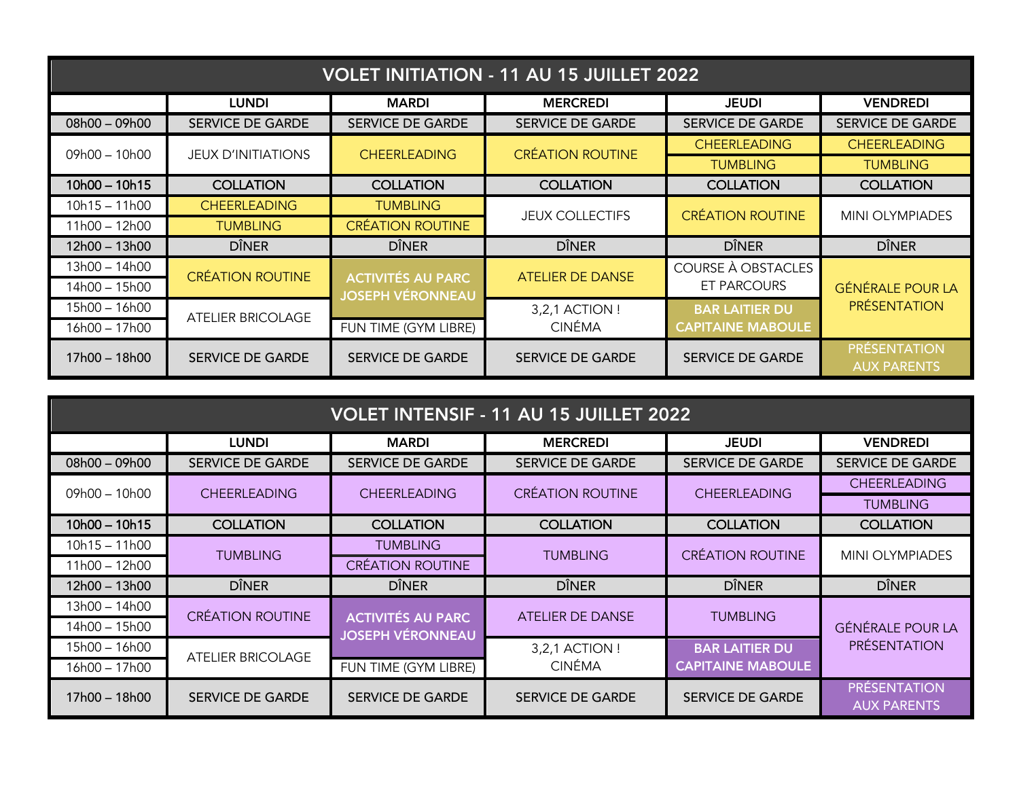| <b>VOLET INITIATION - 11 AU 15 JUILLET 2022</b> |                           |                                                     |                         |                          |                                           |
|-------------------------------------------------|---------------------------|-----------------------------------------------------|-------------------------|--------------------------|-------------------------------------------|
|                                                 | <b>LUNDI</b>              | <b>MARDI</b>                                        | <b>MERCREDI</b>         | <b>JEUDI</b>             | <b>VENDREDI</b>                           |
| $08h00 - 09h00$                                 | <b>SERVICE DE GARDE</b>   | <b>SERVICE DE GARDE</b>                             | <b>SERVICE DE GARDE</b> | <b>SERVICE DE GARDE</b>  | <b>SERVICE DE GARDE</b>                   |
| $09h00 - 10h00$                                 | <b>JEUX D'INITIATIONS</b> | <b>CHEERLEADING</b>                                 | <b>CRÉATION ROUTINE</b> | <b>CHEERLEADING</b>      | <b>CHEERLEADING</b>                       |
|                                                 |                           |                                                     |                         | <b>TUMBLING</b>          | <b>TUMBLING</b>                           |
| $10h00 - 10h15$                                 | <b>COLLATION</b>          | <b>COLLATION</b>                                    | <b>COLLATION</b>        | <b>COLLATION</b>         | <b>COLLATION</b>                          |
| $10h15 - 11h00$                                 | <b>CHEERLEADING</b>       | <b>TUMBLING</b>                                     |                         | <b>CRÉATION ROUTINE</b>  | <b>MINI OLYMPIADES</b>                    |
| 11h00 – 12h00                                   | <b>TUMBLING</b>           | <b>CRÉATION ROUTINE</b>                             | <b>JEUX COLLECTIFS</b>  |                          |                                           |
| 12h00 – 13h00                                   | <b>DÎNER</b>              | <b>DÎNER</b>                                        | <b>DÎNER</b>            | <b>DÎNER</b>             | <b>DÎNER</b>                              |
| 13h00 – 14h00                                   | <b>CRÉATION ROUTINE</b>   |                                                     | <b>ATELIER DE DANSE</b> | COURSE À OBSTACLES       |                                           |
| 14h00 – 15h00                                   |                           | <b>ACTIVITÉS AU PARC</b><br><b>JOSEPH VÉRONNEAU</b> |                         | ET PARCOURS              | <b>GÉNÉRALE POUR LA</b>                   |
| 15h00 – 16h00                                   | <b>ATELIER BRICOLAGE</b>  |                                                     | 3,2,1 ACTION !          | <b>BAR LAITIER DU</b>    | <b>PRÉSENTATION</b>                       |
| 16h00 – 17h00                                   |                           | FUN TIME (GYM LIBRE)                                | <b>CINÉMA</b>           | <b>CAPITAINE MABOULE</b> |                                           |
| 17h00 – 18h00                                   | <b>SERVICE DE GARDE</b>   | <b>SERVICE DE GARDE</b>                             | <b>SERVICE DE GARDE</b> | <b>SERVICE DE GARDE</b>  | <b>PRESENTATION</b><br><b>AUX PARENTS</b> |

| <b>VOLET INTENSIF - 11 AU 15 JUILLET 2022</b> |                                        |                                                     |                         |                          |                                           |
|-----------------------------------------------|----------------------------------------|-----------------------------------------------------|-------------------------|--------------------------|-------------------------------------------|
|                                               | <b>LUNDI</b>                           | <b>MARDI</b>                                        | <b>MERCREDI</b>         | <b>JEUDI</b>             | <b>VENDREDI</b>                           |
| $08h00 - 09h00$                               | <b>SERVICE DE GARDE</b>                | <b>SERVICE DE GARDE</b>                             | <b>SERVICE DE GARDE</b> | <b>SERVICE DE GARDE</b>  | <b>SERVICE DE GARDE</b>                   |
|                                               | $09h00 - 10h00$<br><b>CHEERLEADING</b> | <b>CHEERLEADING</b>                                 | <b>CRÉATION ROUTINE</b> | <b>CHEERLEADING</b>      | <b>CHEERLEADING</b>                       |
|                                               |                                        |                                                     |                         |                          | <b>TUMBLING</b>                           |
| $10h00 - 10h15$                               | <b>COLLATION</b>                       | <b>COLLATION</b>                                    | <b>COLLATION</b>        | <b>COLLATION</b>         | <b>COLLATION</b>                          |
| 10h15 – 11h00                                 | <b>TUMBLING</b>                        | <b>TUMBLING</b>                                     | <b>TUMBLING</b>         | <b>CRÉATION ROUTINE</b>  | <b>MINI OLYMPIADES</b>                    |
| 11h00 – 12h00                                 |                                        | <b>CRÉATION ROUTINE</b>                             |                         |                          |                                           |
| 12h00 - 13h00                                 | <b>DÎNER</b>                           | <b>DÎNER</b>                                        | <b>DÎNER</b>            | <b>DÎNER</b>             | <b>DÎNER</b>                              |
| 13h00 – 14h00                                 | <b>CRÉATION ROUTINE</b>                |                                                     | ATELIER DE DANSE        | <b>TUMBLING</b>          |                                           |
| 14h00 – 15h00                                 |                                        | <b>ACTIVITÉS AU PARC</b><br><b>JOSEPH VÉRONNEAU</b> |                         |                          | <b>GÉNÉRALE POUR LA</b>                   |
| 15h00 - 16h00                                 | <b>ATELIER BRICOLAGE</b>               |                                                     | 3,2,1 ACTION !          | <b>BAR LAITIER DU</b>    | <b>PRÉSENTATION</b>                       |
| 16h00 – 17h00                                 |                                        | FUN TIME (GYM LIBRE)                                | <b>CINÉMA</b>           | <b>CAPITAINE MABOULE</b> |                                           |
| 17h00 – 18h00                                 | <b>SERVICE DE GARDE</b>                | <b>SERVICE DE GARDE</b>                             | <b>SERVICE DE GARDE</b> | <b>SERVICE DE GARDE</b>  | <b>PRÉSENTATION</b><br><b>AUX PARENTS</b> |